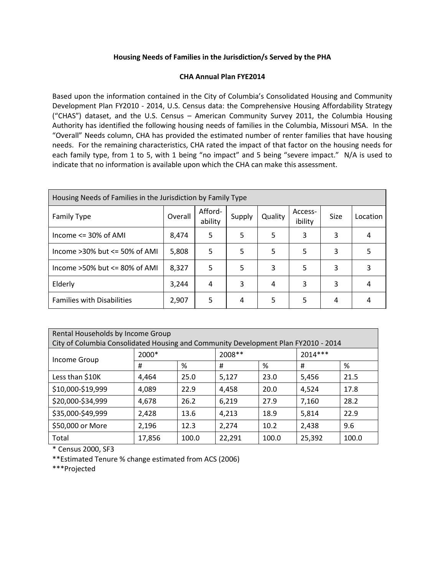## **Housing Needs of Families in the Jurisdiction/s Served by the PHA**

## **CHA Annual Plan FYE2014**

Based upon the information contained in the City of Columbia's Consolidated Housing and Community Development Plan FY2010 - 2014, U.S. Census data: the Comprehensive Housing Affordability Strategy ("CHAS") dataset, and the U.S. Census – American Community Survey 2011, the Columbia Housing Authority has identified the following housing needs of families in the Columbia, Missouri MSA. In the "Overall" Needs column, CHA has provided the estimated number of renter families that have housing needs. For the remaining characteristics, CHA rated the impact of that factor on the housing needs for each family type, from 1 to 5, with 1 being "no impact" and 5 being "severe impact." N/A is used to indicate that no information is available upon which the CHA can make this assessment.

| Housing Needs of Families in the Jurisdiction by Family Type |         |                    |        |         |                    |      |          |
|--------------------------------------------------------------|---------|--------------------|--------|---------|--------------------|------|----------|
| <b>Family Type</b>                                           | Overall | Afford-<br>ability | Supply | Quality | Access-<br>ibility | Size | Location |
| Income $\leq$ 30% of AMI                                     | 8,474   | 5                  | 5      | 5       | 3                  | 3    |          |
| Income $>30\%$ but $\leq 50\%$ of AMI                        | 5,808   | 5                  | 5      | 5       | 5                  | 3    | 5        |
| Income $>50\%$ but $\leq 80\%$ of AMI                        | 8,327   | 5                  | 5      | 3       | 5                  | 3    | 3        |
| Elderly                                                      | 3,244   | 4                  | 3      | 4       | 3                  | 3    | 4        |
| <b>Families with Disabilities</b>                            | 2,907   | 5                  | 4      | 5       | 5                  | 4    |          |

| Rental Households by Income Group                                                  |        |       |         |       |           |       |  |
|------------------------------------------------------------------------------------|--------|-------|---------|-------|-----------|-------|--|
| City of Columbia Consolidated Housing and Community Development Plan FY2010 - 2014 |        |       |         |       |           |       |  |
| Income Group                                                                       | 2000*  |       | 2008 ** |       | $2014***$ |       |  |
|                                                                                    | #      | %     | #       | %     | #         | %     |  |
| Less than \$10K                                                                    | 4,464  | 25.0  | 5,127   | 23.0  | 5,456     | 21.5  |  |
| \$10,000-\$19,999                                                                  | 4,089  | 22.9  | 4,458   | 20.0  | 4,524     | 17.8  |  |
| \$20,000-\$34,999                                                                  | 4,678  | 26.2  | 6,219   | 27.9  | 7,160     | 28.2  |  |
| \$35,000-\$49,999                                                                  | 2,428  | 13.6  | 4,213   | 18.9  | 5,814     | 22.9  |  |
| \$50,000 or More                                                                   | 2,196  | 12.3  | 2,274   | 10.2  | 2,438     | 9.6   |  |
| Total                                                                              | 17,856 | 100.0 | 22,291  | 100.0 | 25,392    | 100.0 |  |

\* Census 2000, SF3

\*\*Estimated Tenure % change estimated from ACS (2006)

\*\*\*Projected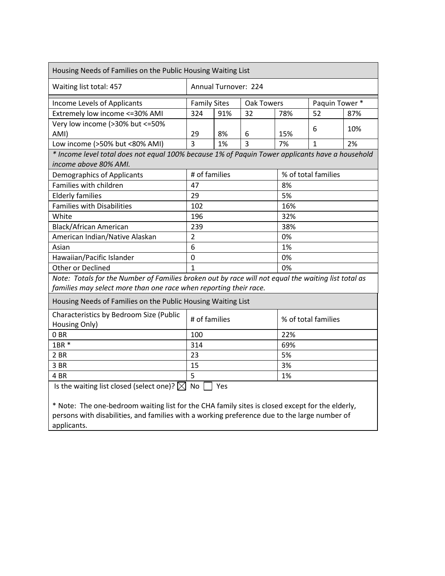| Housing Needs of Families on the Public Housing Waiting List                                                             |                                          |    |     |                     |              |     |  |
|--------------------------------------------------------------------------------------------------------------------------|------------------------------------------|----|-----|---------------------|--------------|-----|--|
| Waiting list total: 457                                                                                                  | Annual Turnover: 224                     |    |     |                     |              |     |  |
| Income Levels of Applicants                                                                                              | <b>Family Sites</b><br><b>Oak Towers</b> |    |     | Paquin Tower *      |              |     |  |
| Extremely low income <= 30% AMI                                                                                          | 324<br>91%<br>32                         |    | 78% | 52                  | 87%          |     |  |
| Very low income (>30% but <= 50%                                                                                         |                                          |    |     |                     |              |     |  |
| AMI)                                                                                                                     | 29                                       | 8% | 6   | 15%                 | 6            | 10% |  |
| Low income (>50% but <80% AMI)                                                                                           | $\overline{3}$<br>3<br>1%                |    |     | 7%                  | $\mathbf{1}$ | 2%  |  |
| * Income level total does not equal 100% because 1% of Paquin Tower applicants have a household<br>income above 80% AMI. |                                          |    |     |                     |              |     |  |
| <b>Demographics of Applicants</b>                                                                                        | # of families<br>% of total families     |    |     |                     |              |     |  |
| Families with children                                                                                                   | 47                                       |    |     |                     | 8%           |     |  |
| <b>Elderly families</b>                                                                                                  | 29                                       |    |     | 5%                  |              |     |  |
| <b>Families with Disabilities</b>                                                                                        | 102                                      |    |     | 16%                 |              |     |  |
| White                                                                                                                    | 196                                      |    |     | 32%                 |              |     |  |
| <b>Black/African American</b>                                                                                            | 239                                      |    |     | 38%                 |              |     |  |
| American Indian/Native Alaskan                                                                                           | $\overline{2}$                           |    |     | 0%                  |              |     |  |
| Asian                                                                                                                    | 6                                        |    |     | 1%                  |              |     |  |
| Hawaiian/Pacific Islander                                                                                                | $\overline{0}$                           |    |     | 0%                  |              |     |  |
| Other or Declined                                                                                                        | $\mathbf{1}$                             |    |     | 0%                  |              |     |  |
| Note: Totals for the Number of Families broken out by race will not equal the waiting list total as                      |                                          |    |     |                     |              |     |  |
| families may select more than one race when reporting their race.                                                        |                                          |    |     |                     |              |     |  |
| Housing Needs of Families on the Public Housing Waiting List                                                             |                                          |    |     |                     |              |     |  |
| Characteristics by Bedroom Size (Public<br>Housing Only)                                                                 | # of families                            |    |     | % of total families |              |     |  |
| 0 <sub>BR</sub>                                                                                                          | 100                                      |    |     | 22%                 |              |     |  |
| 1BR *                                                                                                                    | 314                                      |    |     | 69%                 |              |     |  |
| 2 BR                                                                                                                     | 23                                       |    |     | 5%                  |              |     |  |
| 3 BR                                                                                                                     | 15                                       |    |     | 3%                  |              |     |  |
| 4 BR                                                                                                                     | 5<br>1%                                  |    |     |                     |              |     |  |
| Is the waiting list closed (select one)? $\boxtimes$<br><b>No</b><br>Yes                                                 |                                          |    |     |                     |              |     |  |
| * Note: The one-bedroom waiting list for the CHA family sites is closed except for the elderly,                          |                                          |    |     |                     |              |     |  |
| persons with disabilities, and families with a working preference due to the large number of                             |                                          |    |     |                     |              |     |  |

applicants.